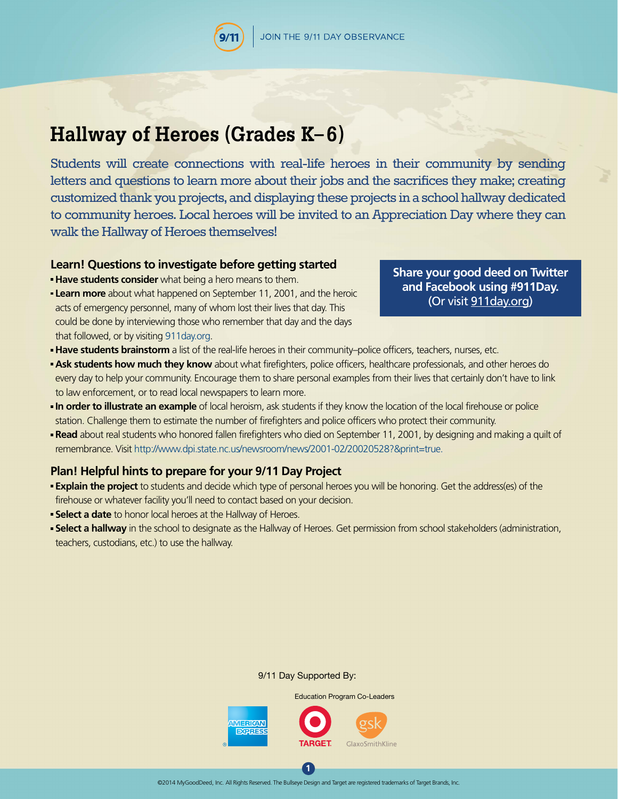# **Hallway of Heroes (Grades K– 6)**

Students will create connections with real-life heroes in their community by sending letters and questions to learn more about their jobs and the sacrifices they make; creating customized thank you projects, and displaying these projects in a school hallway dedicated to community heroes. Local heroes will be invited to an Appreciation Day where they can walk the Hallway of Heroes themselves!

#### **Learn! Questions to investigate before getting started**

**Have students consider** what being a hero means to them.

**Learn more** about what happened on September 11, 2001, and the heroic acts of emergency personnel, many of whom lost their lives that day. This could be done by interviewing those who remember that day and the days that followed, or by visiting [911day.org](http://911day.org).

## **[Share your good deed on Twitter](http://911day.org)  and Facebook using #911Day.**  (Or visit 911day.org)

- **Have students brainstorm** a list of the real-life heroes in their community–police officers, teachers, nurses, etc.
- **Ask students how much they know** about what firefighters, police officers, healthcare professionals, and other heroes do every day to help your community. Encourage them to share personal examples from their lives that certainly don't have to link to law enforcement, or to read local newspapers to learn more.
- **In order to illustrate an example** of local heroism, ask students if they know the location of the local firehouse or police station. Challenge them to estimate the number of firefighters and police officers who protect their community.
- **Read** about real students who honored fallen firefighters who died on September 11, 2001, by designing and making a quilt of remembrance. Visit http://www.dpi.state.nc.us/newsroom/news/2001-02/20020528?&print=true.

## **Plan! Helpful hints to prepare for your 9/11 Day Project**

- **Explain the project** to students and decide which type of personal heroes you will be honoring. Get the address(es) of the firehouse or whatever facility you'll need to contact based on your decision.
- **Select a date** to honor local heroes at the Hallway of Heroes.
- **Select a hallway** in the school to designate as the Hallway of Heroes. Get permission from school stakeholders (administration, teachers, custodians, etc.) to use the hallway.

#### 9/11 Day Supported By:

Education Program Co-Leaders **MERICAN BXPRES** GlaxoSmithKline

**1**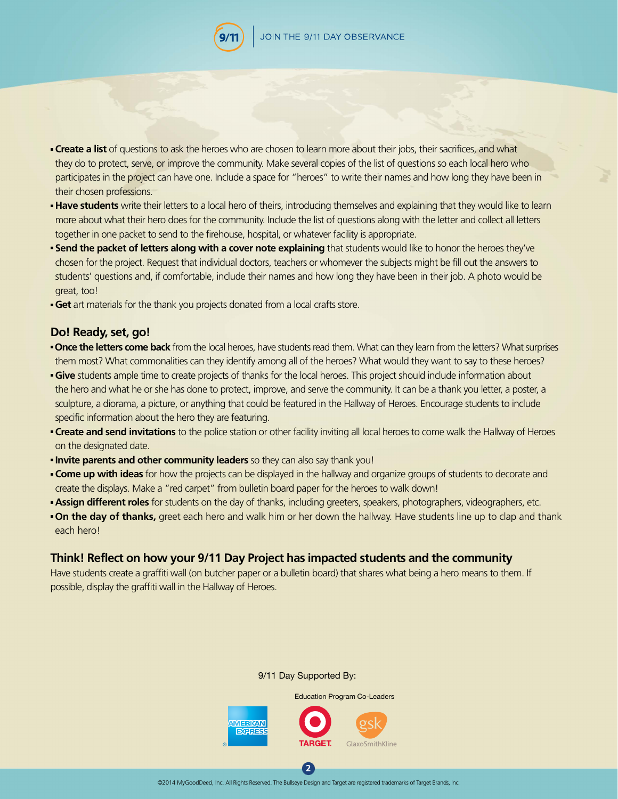

- **Create a list** of questions to ask the heroes who are chosen to learn more about their jobs, their sacrifices, and what they do to protect, serve, or improve the community. Make several copies of the list of questions so each local hero who participates in the project can have one. Include a space for "heroes" to write their names and how long they have been in their chosen professions.
- **Have students** write their letters to a local hero of theirs, introducing themselves and explaining that they would like to learn more about what their hero does for the community. Include the list of questions along with the letter and collect all letters together in one packet to send to the firehouse, hospital, or whatever facility is appropriate.
- **Send the packet of letters along with a cover note explaining** that students would like to honor the heroes they've chosen for the project. Request that individual doctors, teachers or whomever the subjects might be fill out the answers to students' questions and, if comfortable, include their names and how long they have been in their job. A photo would be great, too!
- **Get** art materials for the thank you projects donated from a local crafts store.

### **Do! Ready, set, go!**

- **Once the letters come back** from the local heroes, have students read them. What can they learn from the letters? What surprises them most? What commonalities can they identify among all of the heroes? What would they want to say to these heroes?
- **Give** students ample time to create projects of thanks for the local heroes. This project should include information about the hero and what he or she has done to protect, improve, and serve the community. It can be a thank you letter, a poster, a sculpture, a diorama, a picture, or anything that could be featured in the Hallway of Heroes. Encourage students to include specific information about the hero they are featuring.
- **Create and send invitations** to the police station or other facility inviting all local heroes to come walk the Hallway of Heroes on the designated date.
- **Invite parents and other community leaders** so they can also say thank you!
- **Come up with ideas** for how the projects can be displayed in the hallway and organize groups of students to decorate and create the displays. Make a "red carpet" from bulletin board paper for the heroes to walk down!
- **Assign different roles** for students on the day of thanks, including greeters, speakers, photographers, videographers, etc.
- **On the day of thanks,** greet each hero and walk him or her down the hallway. Have students line up to clap and thank each hero!

### **Think! Reflect on how your 9/11 Day Project has impacted students and the community**

Have students create a graffiti wall (on butcher paper or a bulletin board) that shares what being a hero means to them. If possible, display the graffiti wall in the Hallway of Heroes.

#### 9/11 Day Supported By:

Education Program Co-Leaders